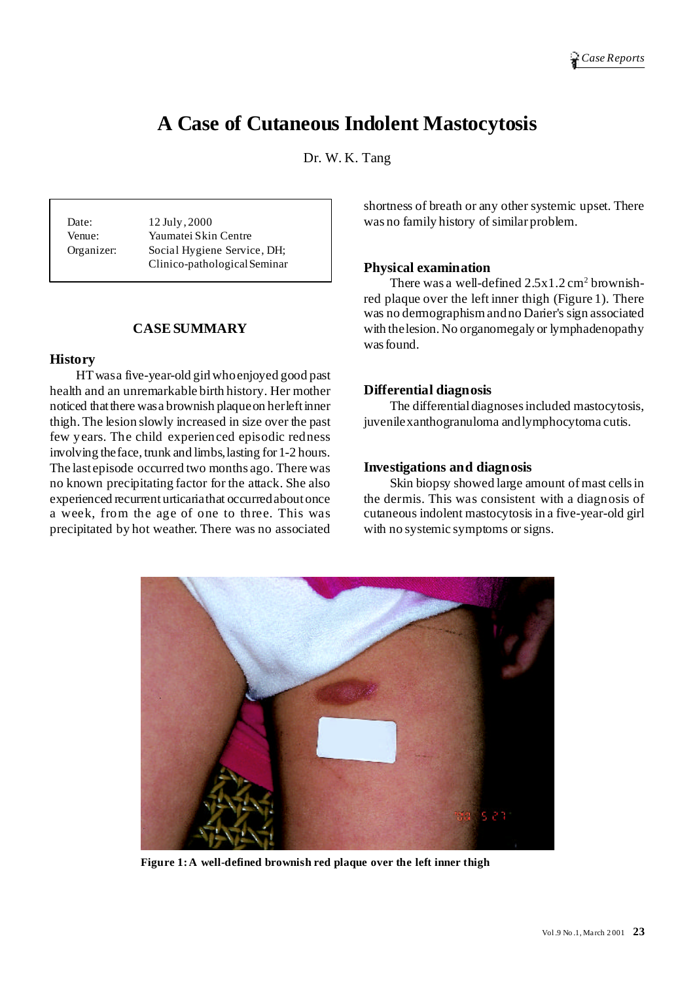# **A Case of Cutaneous Indolent Mastocytosis**

Dr. W. K. Tang

Date: 12 July, 2000 Venue: Yaumatei Skin Centre Organizer: Social Hygiene Service, DH; Clinico-pathologicalSeminar

# **CASESUMMARY**

#### **History**

HTwasa five-year-old girlwhoenjoyed good past health and an unremarkable birth history. Her mother noticed that there was a brownish plaque on her left inner thigh.The lesion slowly increased in size over the past few years. The child experienced episodic redness involving theface, trunk and limbs,lasting for 1-2 hours. The last episode occurred two months ago. There was no known precipitating factor for the attack. She also experienced recurrenturticariathat occurredaboutonce a week, from the age of one to three. This was precipitated by hot weather. There was no associated

shortness of breath or any other systemic upset. There was no family history of similar problem.

### **Physical examination**

There was a well-defined  $2.5x1.2 \text{ cm}^2$  brownishred plaque over the left inner thigh (Figure 1). There was no dermographismandno Darier's sign associated with thelesion. No organomegaly or lymphadenopathy wasfound.

### **Differential diagnosis**

The differential diagnoses included mastocytosis, juvenilexanthogranuloma andlymphocytoma cutis.

#### **Investigations and diagnosis**

Skin biopsy showed large amount of mast cells in the dermis. This was consistent with a diagnosis of cutaneous indolent mastocytosis in a five-year-old girl with no systemic symptoms or signs.



**Figure 1:A well-defined brownish red plaque over the left inner thigh**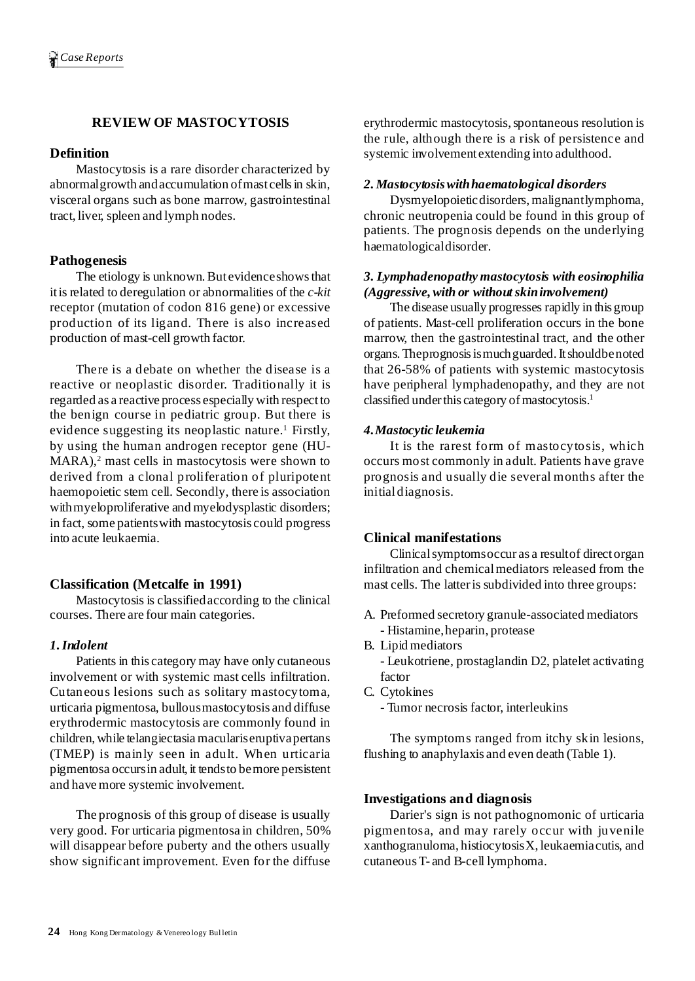# **REVIEW OF MASTOCYTOSIS**

## **Definition**

Mastocytosis is a rare disorder characterized by abnormalgrowth andaccumulation ofmast cellsin skin, visceral organs such as bone marrow, gastrointestinal tract, liver, spleen and lymph nodes.

## **Pathogenesis**

The etiology is unknown. But evidence shows that itis related to deregulation or abnormalities of the *c-kit* receptor (mutation of codon 816 gene) or excessive production of its ligand. There is also increased production of mast-cell growth factor.

There is a debate on whether the disease is a reactive or neoplastic disorder. Traditionally it is regarded as a reactive process especially with respectto the benign course in pediatric group. But there is evidence suggesting its neoplastic nature. <sup>1</sup> Firstly, by using the human androgen receptor gene (HU-MARA), <sup>2</sup> mast cells in mastocytosis were shown to derived from a clonal proliferation of pluripotent haemopoietic stem cell. Secondly, there is association withmyeloproliferative and myelodysplastic disorders; in fact, some patientswith mastocytosis could progress into acute leukaemia.

### **Classification (Metcalfe in 1991)**

Mastocytosis is classifiedaccording to the clinical courses. There are four main categories.

### *1.Indolent*

Patients in this category may have only cutaneous involvement or with systemic mast cells infiltration. Cutaneous lesions such as solitary mastocytoma, urticaria pigmentosa, bullousmastocytosis and diffuse erythrodermic mastocytosis are commonly found in children, while telangiectasia maculariseruptivapertans (TMEP) is mainly seen in adult. When urticaria pigmentosa occursin adult, it tendsto bemore persistent and have more systemic involvement.

The prognosis of this group of disease is usually very good. For urticaria pigmentosa in children, 50% will disappear before puberty and the others usually show significant improvement. Even for the diffuse erythrodermic mastocytosis, spontaneous resolution is the rule, although there is a risk of persistence and systemic involvement extending into adulthood.

### *2. Mastocytosiswithhaematological disorders*

Dysmyelopoietic disorders, malignantlymphoma, chronic neutropenia could be found in this group of patients. The prognosis depends on the underlying haematologicaldisorder.

## *3. Lymphadenopathy mastocytosis with eosinophilia (Aggressive,with or withoutskininvolvement)*

The disease usually progresses rapidly in this group of patients. Mast-cell proliferation occurs in the bone marrow, then the gastrointestinal tract, and the other organs.Theprognosisismuchguarded.Itshouldbenoted that 26-58% of patients with systemic mastocytosis have peripheral lymphadenopathy, and they are not classified under this category of mastocytosis.<sup>1</sup>

### *4.Mastocytic leukemia*

It is the rarest form of mastocytosis, which occurs most commonly in adult. Patients have grave prognosis and usually die several months after the initialdiagnosis.

## **Clinical manifestations**

Clinicalsymptomsoccur as a resultof directorgan infiltration and chemical mediators released from the mast cells. The latteris subdivided into three groups:

- A. Preformed secretory granule-associated mediators - Histamine,heparin, protease
- B. Lipid mediators
	- Leukotriene, prostaglandin D2, platelet activating factor
- C. Cytokines
	- Tumor necrosis factor, interleukins

The symptoms ranged from itchy skin lesions, flushing to anaphylaxis and even death (Table 1).

### **Investigations and diagnosis**

Darier's sign is not pathognomonic of urticaria pigmentosa, and may rarely occur with juvenile xanthogranuloma, histiocytosisX, leukaemiacutis, and cutaneousT- and B-cell lymphoma.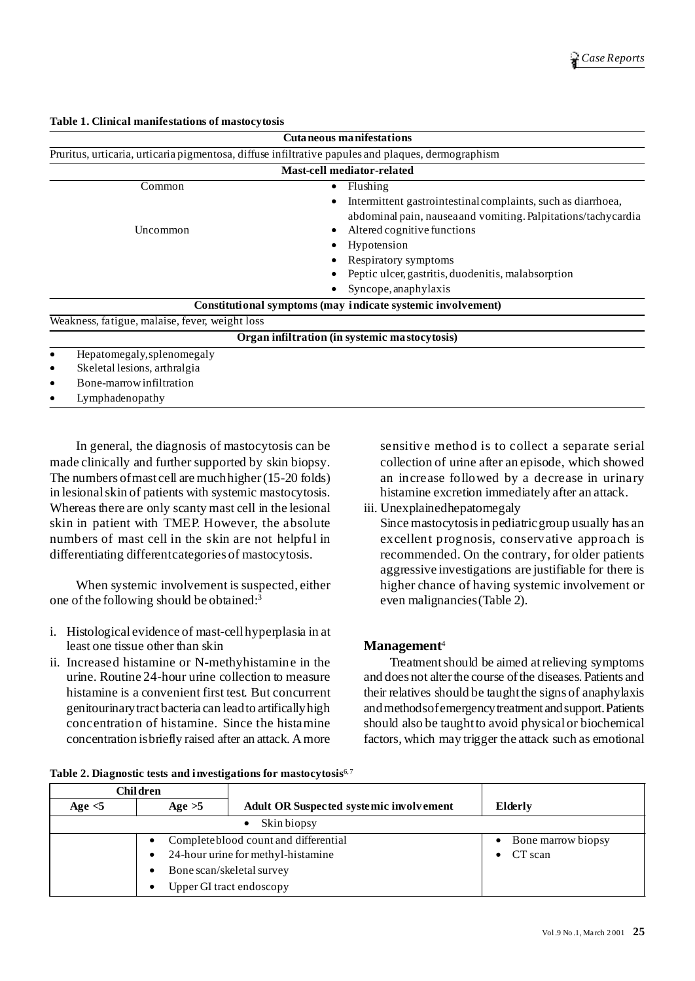| Cuta neous manifestations                                                                          |                                                               |  |  |  |
|----------------------------------------------------------------------------------------------------|---------------------------------------------------------------|--|--|--|
| Pruritus, urticaria, urticaria pigmentosa, diffuse infiltrative papules and plaques, dermographism |                                                               |  |  |  |
| <b>Mast-cell mediator-related</b>                                                                  |                                                               |  |  |  |
| Common                                                                                             | Flushing<br>$\bullet$                                         |  |  |  |
|                                                                                                    | Intermittent gastrointestinal complaints, such as diarrhoea,  |  |  |  |
|                                                                                                    | abdominal pain, nausea and vomiting. Palpitations/tachycardia |  |  |  |
| Uncommon                                                                                           | Altered cognitive functions                                   |  |  |  |
|                                                                                                    | Hypotension                                                   |  |  |  |
|                                                                                                    | Respiratory symptoms                                          |  |  |  |
|                                                                                                    | Peptic ulcer, gastritis, duodenitis, malabsorption            |  |  |  |
|                                                                                                    | Syncope, anaphylaxis                                          |  |  |  |
|                                                                                                    | Constitutional symptoms (may indicate systemic involvement)   |  |  |  |
| Weakness, fatigue, malaise, fever, weight loss                                                     |                                                               |  |  |  |
|                                                                                                    | Organ infiltration (in systemic mastocytosis)                 |  |  |  |
| Hepatomegaly, splenomegaly<br>٠                                                                    |                                                               |  |  |  |
| Skeletal lesions, arthralgia<br>٠                                                                  |                                                               |  |  |  |
| Bone-marrow infiltration<br>٠                                                                      |                                                               |  |  |  |

**Table 1. Clinical manifestations of mastocytosis**

• Lymphadenopathy

In general, the diagnosis of mastocytosis can be made clinically and further supported by skin biopsy. The numbers of mast cell are much higher (15-20 folds) in lesionalskin of patients with systemic mastocytosis. Whereas there are only scanty mast cell in the lesional skin in patient with TMEP. However, the absolute numbers of mast cell in the skin are not helpful in differentiating differentcategories of mastocytosis.

When systemic involvement is suspected, either one of the following should be obtained:<sup>3</sup>

- i. Histological evidence of mast-cellhyperplasia in at least one tissue other than skin
- ii. Increased histamine or N-methyhistamine in the urine. Routine 24-hour urine collection to measure histamine is a convenient first test. But concurrent genitourinarytractbacteria can leadto artificallyhigh concentration of histamine. Since the histamine concentration isbriefly raised after an attack. Amore

sensitive method is to collect a separate serial collection of urine after an episode, which showed an increase followed by a decrease in urinary histamine excretion immediately after an attack.

iii. Unexplainedhepatomegaly

Since mastocytosisin pediatricgroup usually has an excellent prognosis, conservative approach is recommended. On the contrary, for older patients aggressive investigations are justifiable for there is higher chance of having systemic involvement or even malignancies(Table 2).

# **Management** 4

Treatmentshould be aimed atrelieving symptoms and does not alter the course of the diseases. Patients and their relatives should be taughtthe signs of anaphylaxis and methods of emergency treatment and support. Patients should also be taughtto avoid physicalor biochemical factors, which may trigger the attack such as emotional

| <b>Children</b>                                 |          |                                                |         |
|-------------------------------------------------|----------|------------------------------------------------|---------|
| Age $<$ 5                                       | Age $>5$ | <b>Adult OR Suspected systemic involvement</b> | Elderly |
|                                                 |          | Skin biopsy<br>$\bullet$                       |         |
| Complete blood count and differential           |          | Bone marrow biopsy<br>$\bullet$                |         |
| 24-hour urine for methyl-histamine<br>$\bullet$ |          | CT scan                                        |         |
|                                                 |          | Bone scan/skeletal survey                      |         |
|                                                 |          | Upper GI tract endoscopy                       |         |
|                                                 |          |                                                |         |

**Table 2. Diagnostic tests and investigations for mastocytosis** 6,7